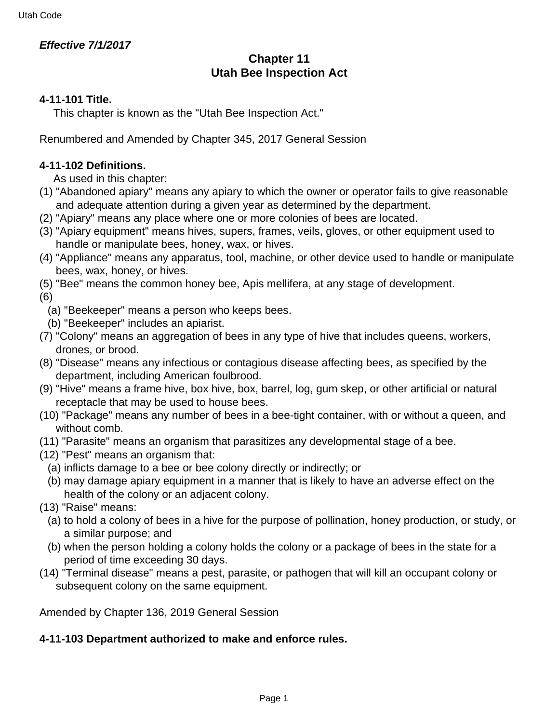# **Effective 7/1/2017**

# **Chapter 11 Utah Bee Inspection Act**

## **4-11-101 Title.**

This chapter is known as the "Utah Bee Inspection Act."

Renumbered and Amended by Chapter 345, 2017 General Session

# **4-11-102 Definitions.**

As used in this chapter:

- (1) "Abandoned apiary" means any apiary to which the owner or operator fails to give reasonable and adequate attention during a given year as determined by the department.
- (2) "Apiary" means any place where one or more colonies of bees are located.
- (3) "Apiary equipment" means hives, supers, frames, veils, gloves, or other equipment used to handle or manipulate bees, honey, wax, or hives.
- (4) "Appliance" means any apparatus, tool, machine, or other device used to handle or manipulate bees, wax, honey, or hives.
- (5) "Bee" means the common honey bee, Apis mellifera, at any stage of development.

(6)

- (a) "Beekeeper" means a person who keeps bees.
- (b) "Beekeeper" includes an apiarist.
- (7) "Colony" means an aggregation of bees in any type of hive that includes queens, workers, drones, or brood.
- (8) "Disease" means any infectious or contagious disease affecting bees, as specified by the department, including American foulbrood.
- (9) "Hive" means a frame hive, box hive, box, barrel, log, gum skep, or other artificial or natural receptacle that may be used to house bees.
- (10) "Package" means any number of bees in a bee-tight container, with or without a queen, and without comb.
- (11) "Parasite" means an organism that parasitizes any developmental stage of a bee.
- (12) "Pest" means an organism that:
	- (a) inflicts damage to a bee or bee colony directly or indirectly; or
	- (b) may damage apiary equipment in a manner that is likely to have an adverse effect on the health of the colony or an adjacent colony.
- (13) "Raise" means:
	- (a) to hold a colony of bees in a hive for the purpose of pollination, honey production, or study, or a similar purpose; and
	- (b) when the person holding a colony holds the colony or a package of bees in the state for a period of time exceeding 30 days.
- (14) "Terminal disease" means a pest, parasite, or pathogen that will kill an occupant colony or subsequent colony on the same equipment.

Amended by Chapter 136, 2019 General Session

## **4-11-103 Department authorized to make and enforce rules.**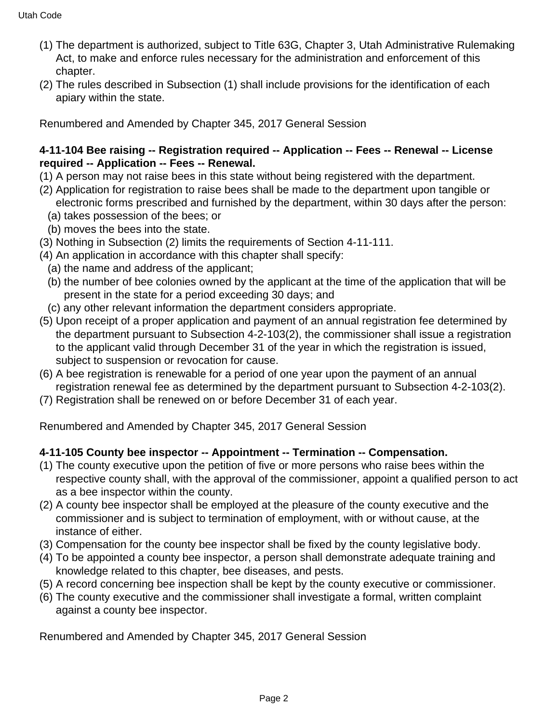- (1) The department is authorized, subject to Title 63G, Chapter 3, Utah Administrative Rulemaking Act, to make and enforce rules necessary for the administration and enforcement of this chapter.
- (2) The rules described in Subsection (1) shall include provisions for the identification of each apiary within the state.

# **4-11-104 Bee raising -- Registration required -- Application -- Fees -- Renewal -- License required -- Application -- Fees -- Renewal.**

- (1) A person may not raise bees in this state without being registered with the department.
- (2) Application for registration to raise bees shall be made to the department upon tangible or electronic forms prescribed and furnished by the department, within 30 days after the person:
	- (a) takes possession of the bees; or
	- (b) moves the bees into the state.
- (3) Nothing in Subsection (2) limits the requirements of Section 4-11-111.
- (4) An application in accordance with this chapter shall specify:
	- (a) the name and address of the applicant;
	- (b) the number of bee colonies owned by the applicant at the time of the application that will be present in the state for a period exceeding 30 days; and
	- (c) any other relevant information the department considers appropriate.
- (5) Upon receipt of a proper application and payment of an annual registration fee determined by the department pursuant to Subsection 4-2-103(2), the commissioner shall issue a registration to the applicant valid through December 31 of the year in which the registration is issued, subject to suspension or revocation for cause.
- (6) A bee registration is renewable for a period of one year upon the payment of an annual registration renewal fee as determined by the department pursuant to Subsection 4-2-103(2).
- (7) Registration shall be renewed on or before December 31 of each year.

Renumbered and Amended by Chapter 345, 2017 General Session

# **4-11-105 County bee inspector -- Appointment -- Termination -- Compensation.**

- (1) The county executive upon the petition of five or more persons who raise bees within the respective county shall, with the approval of the commissioner, appoint a qualified person to act as a bee inspector within the county.
- (2) A county bee inspector shall be employed at the pleasure of the county executive and the commissioner and is subject to termination of employment, with or without cause, at the instance of either.
- (3) Compensation for the county bee inspector shall be fixed by the county legislative body.
- (4) To be appointed a county bee inspector, a person shall demonstrate adequate training and knowledge related to this chapter, bee diseases, and pests.
- (5) A record concerning bee inspection shall be kept by the county executive or commissioner.
- (6) The county executive and the commissioner shall investigate a formal, written complaint against a county bee inspector.

Renumbered and Amended by Chapter 345, 2017 General Session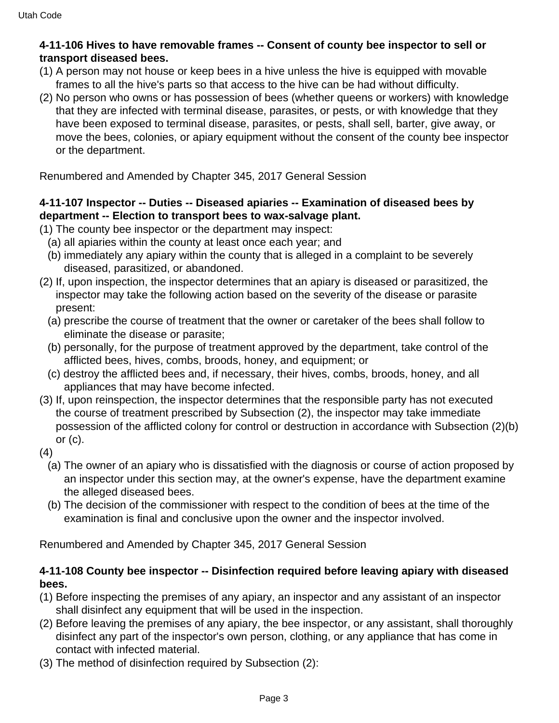### **4-11-106 Hives to have removable frames -- Consent of county bee inspector to sell or transport diseased bees.**

- (1) A person may not house or keep bees in a hive unless the hive is equipped with movable frames to all the hive's parts so that access to the hive can be had without difficulty.
- (2) No person who owns or has possession of bees (whether queens or workers) with knowledge that they are infected with terminal disease, parasites, or pests, or with knowledge that they have been exposed to terminal disease, parasites, or pests, shall sell, barter, give away, or move the bees, colonies, or apiary equipment without the consent of the county bee inspector or the department.

Renumbered and Amended by Chapter 345, 2017 General Session

### **4-11-107 Inspector -- Duties -- Diseased apiaries -- Examination of diseased bees by department -- Election to transport bees to wax-salvage plant.**

- (1) The county bee inspector or the department may inspect:
	- (a) all apiaries within the county at least once each year; and
	- (b) immediately any apiary within the county that is alleged in a complaint to be severely diseased, parasitized, or abandoned.
- (2) If, upon inspection, the inspector determines that an apiary is diseased or parasitized, the inspector may take the following action based on the severity of the disease or parasite present:
	- (a) prescribe the course of treatment that the owner or caretaker of the bees shall follow to eliminate the disease or parasite;
	- (b) personally, for the purpose of treatment approved by the department, take control of the afflicted bees, hives, combs, broods, honey, and equipment; or
	- (c) destroy the afflicted bees and, if necessary, their hives, combs, broods, honey, and all appliances that may have become infected.
- (3) If, upon reinspection, the inspector determines that the responsible party has not executed the course of treatment prescribed by Subsection (2), the inspector may take immediate possession of the afflicted colony for control or destruction in accordance with Subsection (2)(b) or  $(c)$ .
- (4)
	- (a) The owner of an apiary who is dissatisfied with the diagnosis or course of action proposed by an inspector under this section may, at the owner's expense, have the department examine the alleged diseased bees.
	- (b) The decision of the commissioner with respect to the condition of bees at the time of the examination is final and conclusive upon the owner and the inspector involved.

Renumbered and Amended by Chapter 345, 2017 General Session

#### **4-11-108 County bee inspector -- Disinfection required before leaving apiary with diseased bees.**

- (1) Before inspecting the premises of any apiary, an inspector and any assistant of an inspector shall disinfect any equipment that will be used in the inspection.
- (2) Before leaving the premises of any apiary, the bee inspector, or any assistant, shall thoroughly disinfect any part of the inspector's own person, clothing, or any appliance that has come in contact with infected material.
- (3) The method of disinfection required by Subsection (2):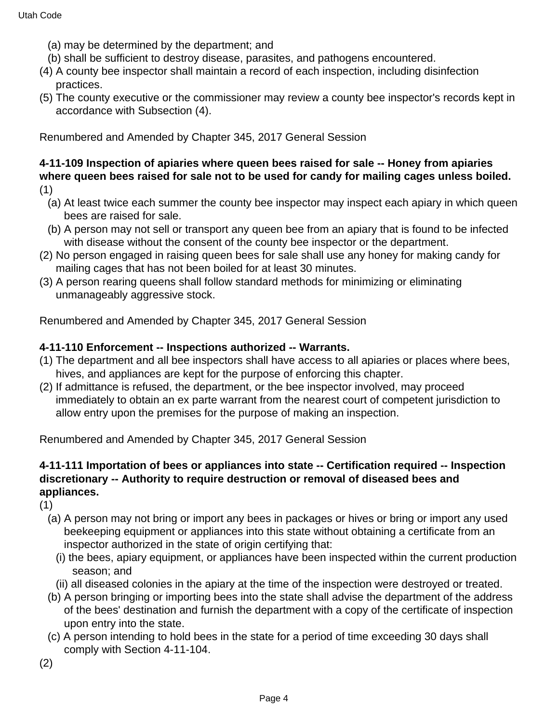- (a) may be determined by the department; and
- (b) shall be sufficient to destroy disease, parasites, and pathogens encountered.
- (4) A county bee inspector shall maintain a record of each inspection, including disinfection practices.
- (5) The county executive or the commissioner may review a county bee inspector's records kept in accordance with Subsection (4).

#### **4-11-109 Inspection of apiaries where queen bees raised for sale -- Honey from apiaries where queen bees raised for sale not to be used for candy for mailing cages unless boiled.** (1)

- (a) At least twice each summer the county bee inspector may inspect each apiary in which queen bees are raised for sale.
- (b) A person may not sell or transport any queen bee from an apiary that is found to be infected with disease without the consent of the county bee inspector or the department.
- (2) No person engaged in raising queen bees for sale shall use any honey for making candy for mailing cages that has not been boiled for at least 30 minutes.
- (3) A person rearing queens shall follow standard methods for minimizing or eliminating unmanageably aggressive stock.

Renumbered and Amended by Chapter 345, 2017 General Session

#### **4-11-110 Enforcement -- Inspections authorized -- Warrants.**

- (1) The department and all bee inspectors shall have access to all apiaries or places where bees, hives, and appliances are kept for the purpose of enforcing this chapter.
- (2) If admittance is refused, the department, or the bee inspector involved, may proceed immediately to obtain an ex parte warrant from the nearest court of competent jurisdiction to allow entry upon the premises for the purpose of making an inspection.

Renumbered and Amended by Chapter 345, 2017 General Session

## **4-11-111 Importation of bees or appliances into state -- Certification required -- Inspection discretionary -- Authority to require destruction or removal of diseased bees and appliances.**

(1)

- (a) A person may not bring or import any bees in packages or hives or bring or import any used beekeeping equipment or appliances into this state without obtaining a certificate from an inspector authorized in the state of origin certifying that:
	- (i) the bees, apiary equipment, or appliances have been inspected within the current production season; and
	- (ii) all diseased colonies in the apiary at the time of the inspection were destroyed or treated.
- (b) A person bringing or importing bees into the state shall advise the department of the address of the bees' destination and furnish the department with a copy of the certificate of inspection upon entry into the state.
- (c) A person intending to hold bees in the state for a period of time exceeding 30 days shall comply with Section 4-11-104.
- (2)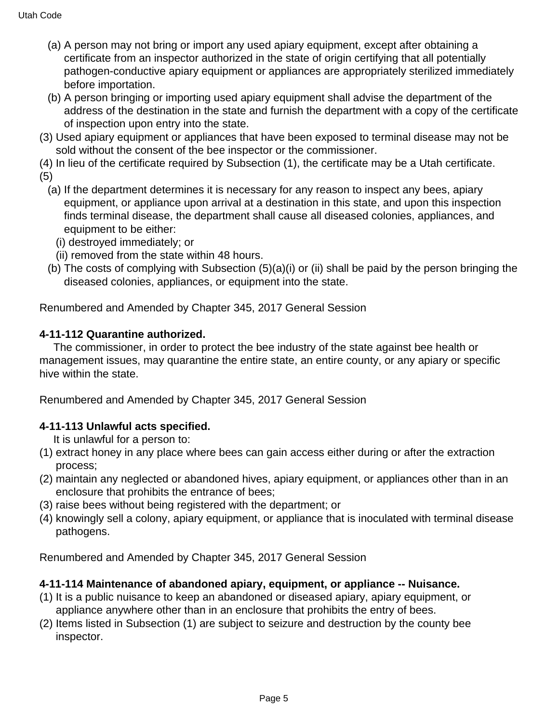- (a) A person may not bring or import any used apiary equipment, except after obtaining a certificate from an inspector authorized in the state of origin certifying that all potentially pathogen-conductive apiary equipment or appliances are appropriately sterilized immediately before importation.
- (b) A person bringing or importing used apiary equipment shall advise the department of the address of the destination in the state and furnish the department with a copy of the certificate of inspection upon entry into the state.
- (3) Used apiary equipment or appliances that have been exposed to terminal disease may not be sold without the consent of the bee inspector or the commissioner.
- (4) In lieu of the certificate required by Subsection (1), the certificate may be a Utah certificate. (5)
	- (a) If the department determines it is necessary for any reason to inspect any bees, apiary equipment, or appliance upon arrival at a destination in this state, and upon this inspection finds terminal disease, the department shall cause all diseased colonies, appliances, and equipment to be either:
		- (i) destroyed immediately; or
		- (ii) removed from the state within 48 hours.
	- (b) The costs of complying with Subsection (5)(a)(i) or (ii) shall be paid by the person bringing the diseased colonies, appliances, or equipment into the state.

# **4-11-112 Quarantine authorized.**

 The commissioner, in order to protect the bee industry of the state against bee health or management issues, may quarantine the entire state, an entire county, or any apiary or specific hive within the state.

Renumbered and Amended by Chapter 345, 2017 General Session

# **4-11-113 Unlawful acts specified.**

It is unlawful for a person to:

- (1) extract honey in any place where bees can gain access either during or after the extraction process;
- (2) maintain any neglected or abandoned hives, apiary equipment, or appliances other than in an enclosure that prohibits the entrance of bees;
- (3) raise bees without being registered with the department; or
- (4) knowingly sell a colony, apiary equipment, or appliance that is inoculated with terminal disease pathogens.

Renumbered and Amended by Chapter 345, 2017 General Session

# **4-11-114 Maintenance of abandoned apiary, equipment, or appliance -- Nuisance.**

- (1) It is a public nuisance to keep an abandoned or diseased apiary, apiary equipment, or appliance anywhere other than in an enclosure that prohibits the entry of bees.
- (2) Items listed in Subsection (1) are subject to seizure and destruction by the county bee inspector.